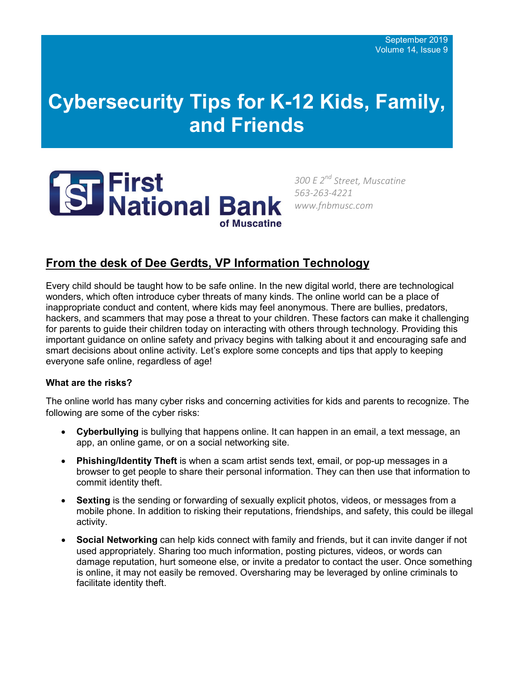# **Cybersecurity Tips for K-12 Kids, Family, and Friends**



*300 E 2nd Street, Muscatine 563-263-4221 www.fnbmusc.com*

# **From the desk of Dee Gerdts, VP Information Technology**

Every child should be taught how to be safe online. In the new digital world, there are technological wonders, which often introduce cyber threats of many kinds. The online world can be a place of inappropriate conduct and content, where kids may feel anonymous. There are bullies, predators, hackers, and scammers that may pose a threat to your children. These factors can make it challenging for parents to guide their children today on interacting with others through technology. Providing this important guidance on online safety and privacy begins with talking about it and encouraging safe and smart decisions about online activity. Let's explore some concepts and tips that apply to keeping everyone safe online, regardless of age!

## **What are the risks?**

The online world has many cyber risks and concerning activities for kids and parents to recognize. The following are some of the cyber risks:

- **Cyberbullying** is bullying that happens online. It can happen in an email, a text message, an app, an online game, or on a social networking site.
- **Phishing/Identity Theft** is when a scam artist sends text, email, or pop-up messages in a browser to get people to share their personal information. They can then use that information to commit identity theft.
- **Sexting** is the sending or forwarding of sexually explicit photos, videos, or messages from a mobile phone. In addition to risking their reputations, friendships, and safety, this could be illegal activity.
- **Social Networking** can help kids connect with family and friends, but it can invite danger if not used appropriately. Sharing too much information, posting pictures, videos, or words can damage reputation, hurt someone else, or invite a predator to contact the user. Once something is online, it may not easily be removed. Oversharing may be leveraged by online criminals to facilitate identity theft.